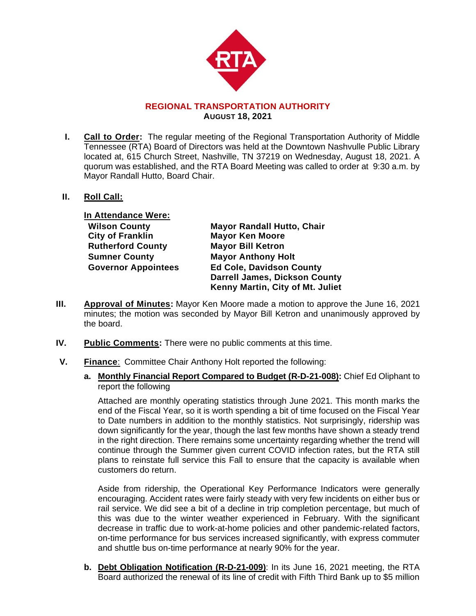

## **REGIONAL TRANSPORTATION AUTHORITY AUGUST 18, 2021**

- **I. Call to Order:** The regular meeting of the Regional Transportation Authority of Middle Tennessee (RTA) Board of Directors was held at the Downtown Nashvulle Public Library located at, 615 Church Street, Nashville, TN 37219 on Wednesday, August 18, 2021. A quorum was established, and the RTA Board Meeting was called to order at 9:30 a.m. by Mayor Randall Hutto, Board Chair.
- **II. Roll Call:**

**In Attendance Were: City of Franklin Mayor Ken Moore Rutherford County Mayor Bill Ketron Sumner County Mayor Anthony Holt**

**Wilson County Mayor Randall Hutto, Chair Governor Appointees Ed Cole, Davidson County Darrell James, Dickson County Kenny Martin, City of Mt. Juliet**

- **III. Approval of Minutes:** Mayor Ken Moore made a motion to approve the June 16, 2021 minutes; the motion was seconded by Mayor Bill Ketron and unanimously approved by the board.
- **IV. Public Comments:** There were no public comments at this time.
- **V. Finance**:Committee Chair Anthony Holt reported the following:
	- **a. Monthly Financial Report Compared to Budget (R-D-21-008):** Chief Ed Oliphant to report the following

Attached are monthly operating statistics through June 2021. This month marks the end of the Fiscal Year, so it is worth spending a bit of time focused on the Fiscal Year to Date numbers in addition to the monthly statistics. Not surprisingly, ridership was down significantly for the year, though the last few months have shown a steady trend in the right direction. There remains some uncertainty regarding whether the trend will continue through the Summer given current COVID infection rates, but the RTA still plans to reinstate full service this Fall to ensure that the capacity is available when customers do return.

Aside from ridership, the Operational Key Performance Indicators were generally encouraging. Accident rates were fairly steady with very few incidents on either bus or rail service. We did see a bit of a decline in trip completion percentage, but much of this was due to the winter weather experienced in February. With the significant decrease in traffic due to work-at-home policies and other pandemic-related factors, on-time performance for bus services increased significantly, with express commuter and shuttle bus on-time performance at nearly 90% for the year.

**b. Debt Obligation Notification (R-D-21-009)**: In its June 16, 2021 meeting, the RTA Board authorized the renewal of its line of credit with Fifth Third Bank up to \$5 million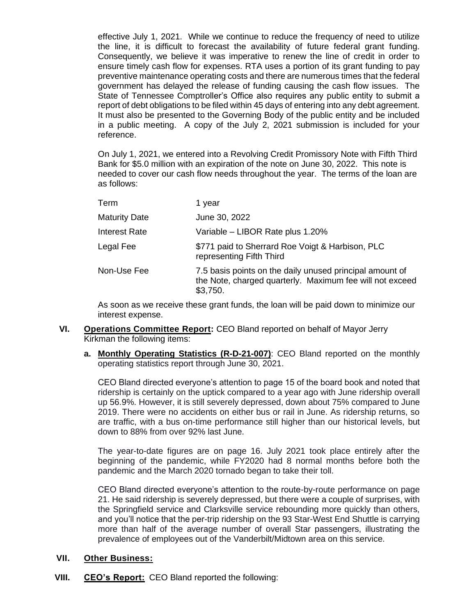effective July 1, 2021. While we continue to reduce the frequency of need to utilize the line, it is difficult to forecast the availability of future federal grant funding. Consequently, we believe it was imperative to renew the line of credit in order to ensure timely cash flow for expenses. RTA uses a portion of its grant funding to pay preventive maintenance operating costs and there are numerous times that the federal government has delayed the release of funding causing the cash flow issues. The State of Tennessee Comptroller's Office also requires any public entity to submit a report of debt obligations to be filed within 45 days of entering into any debt agreement. It must also be presented to the Governing Body of the public entity and be included in a public meeting. A copy of the July 2, 2021 submission is included for your reference.

On July 1, 2021, we entered into a Revolving Credit Promissory Note with Fifth Third Bank for \$5.0 million with an expiration of the note on June 30, 2022. This note is needed to cover our cash flow needs throughout the year. The terms of the loan are as follows:

| Term                 | 1 vear                                                                                                                           |
|----------------------|----------------------------------------------------------------------------------------------------------------------------------|
| <b>Maturity Date</b> | June 30, 2022                                                                                                                    |
| <b>Interest Rate</b> | Variable - LIBOR Rate plus 1.20%                                                                                                 |
| Legal Fee            | \$771 paid to Sherrard Roe Voigt & Harbison, PLC<br>representing Fifth Third                                                     |
| Non-Use Fee          | 7.5 basis points on the daily unused principal amount of<br>the Note, charged quarterly. Maximum fee will not exceed<br>\$3,750. |

As soon as we receive these grant funds, the loan will be paid down to minimize our interest expense.

- **VI. Operations Committee Report:** CEO Bland reported on behalf of Mayor Jerry Kirkman the following items:
	- **a. Monthly Operating Statistics (R-D-21-007)**: CEO Bland reported on the monthly operating statistics report through June 30, 2021.

CEO Bland directed everyone's attention to page 15 of the board book and noted that ridership is certainly on the uptick compared to a year ago with June ridership overall up 56.9%. However, it is still severely depressed, down about 75% compared to June 2019. There were no accidents on either bus or rail in June. As ridership returns, so are traffic, with a bus on-time performance still higher than our historical levels, but down to 88% from over 92% last June.

The year-to-date figures are on page 16. July 2021 took place entirely after the beginning of the pandemic, while FY2020 had 8 normal months before both the pandemic and the March 2020 tornado began to take their toll.

CEO Bland directed everyone's attention to the route-by-route performance on page 21. He said ridership is severely depressed, but there were a couple of surprises, with the Springfield service and Clarksville service rebounding more quickly than others, and you'll notice that the per-trip ridership on the 93 Star-West End Shuttle is carrying more than half of the average number of overall Star passengers, illustrating the prevalence of employees out of the Vanderbilt/Midtown area on this service.

## **VII. Other Business:**

**VIII. CEO's Report:** CEO Bland reported the following: